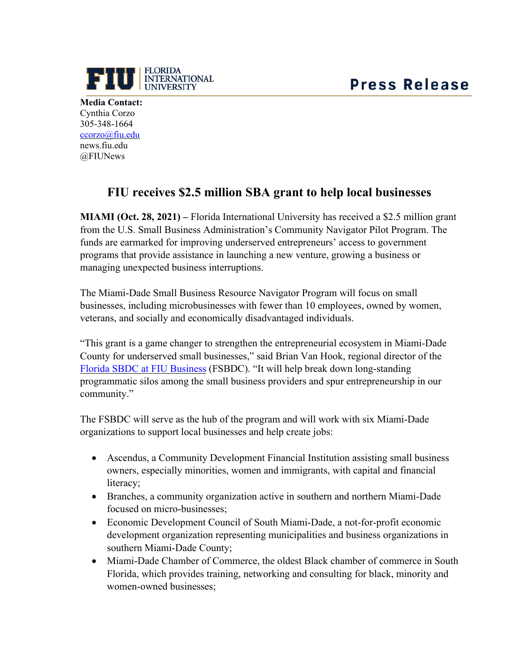

**Media Contact:** Cynthia Corzo 305-348-1664 [ccorzo@fiu.edu](mailto:ccorzo@fiu.edu) news.fiu.edu @FIUNews

## **FIU receives \$2.5 million SBA grant to help local businesses**

**MIAMI (Oct. 28, 2021) –** Florida International University has received a \$2.5 million grant from the U.S. Small Business Administration's Community Navigator Pilot Program. The funds are earmarked for improving underserved entrepreneurs' access to government programs that provide assistance in launching a new venture, growing a business or managing unexpected business interruptions.

The Miami-Dade Small Business Resource Navigator Program will focus on small businesses, including microbusinesses with fewer than 10 employees, owned by women, veterans, and socially and economically disadvantaged individuals.

"This grant is a game changer to strengthen the entrepreneurial ecosystem in Miami-Dade County for underserved small businesses," said Brian Van Hook, regional director of the [Florida SBDC at FIU Business](https://business.fiu.edu/centers/sbdc/) (FSBDC). "It will help break down long-standing programmatic silos among the small business providers and spur entrepreneurship in our community."

The FSBDC will serve as the hub of the program and will work with six Miami-Dade organizations to support local businesses and help create jobs:

- Ascendus, a Community Development Financial Institution assisting small business owners, especially minorities, women and immigrants, with capital and financial literacy;
- Branches, a community organization active in southern and northern Miami-Dade focused on micro-businesses;
- Economic Development Council of South Miami-Dade, a not-for-profit economic development organization representing municipalities and business organizations in southern Miami-Dade County;
- Miami-Dade Chamber of Commerce, the oldest Black chamber of commerce in South Florida, which provides training, networking and consulting for black, minority and women-owned businesses;